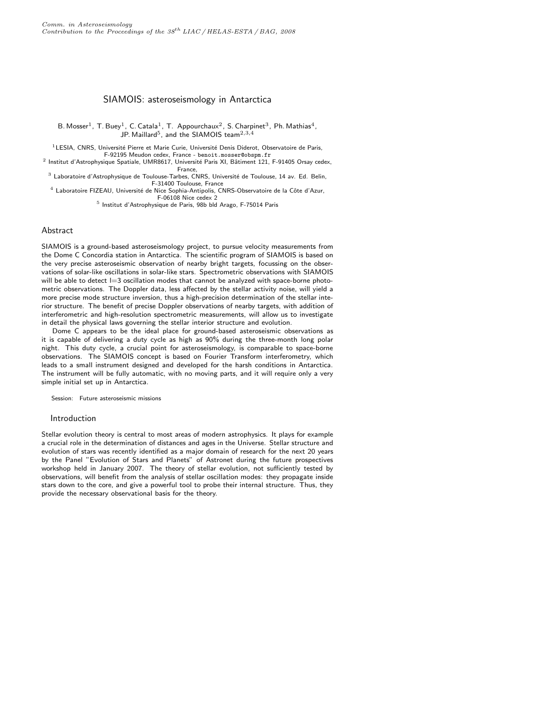# SIAMOIS: asteroseismology in Antarctica

B. Mosser<sup>1</sup>, T. Buey<sup>1</sup>, C. Catala<sup>1</sup>, T. Appourchaux<sup>2</sup>, S. Charpinet<sup>3</sup>, Ph. Mathias<sup>4</sup>, JP. Maillard<sup>5</sup>, and the SIAMOIS team<sup>2,3,4</sup>

 $1$ LESIA, CNRS, Université Pierre et Marie Curie, Université Denis Diderot, Observatoire de Paris, F-92195 Meudon cedex, France - benoit.mosser@obspm.fr

<sup>2</sup> Institut d'Astrophysique Spatiale, UMR8617, Université Paris XI, Bâtiment 121, F-91405 Orsay cedex, France,

<sup>3</sup> Laboratoire d'Astrophysique de Toulouse-Tarbes, CNRS, Université de Toulouse, 14 av. Ed. Belin, F-31400 Toulouse, France

<sup>4</sup> Laboratoire FIZEAU, Université de Nice Sophia-Antipolis, CNRS-Observatoire de la Côte d'Azur, F-06108 Nice cedex 2

5 Institut d'Astrophysique de Paris, 98b bld Arago, F-75014 Paris

# Abstract

SIAMOIS is a ground-based asteroseismology project, to pursue velocity measurements from the Dome C Concordia station in Antarctica. The scientific program of SIAMOIS is based on the very precise asteroseismic observation of nearby bright targets, focussing on the observations of solar-like oscillations in solar-like stars. Spectrometric observations with SIAMOIS will be able to detect  $l=3$  oscillation modes that cannot be analyzed with space-borne photometric observations. The Doppler data, less affected by the stellar activity noise, will yield a more precise mode structure inversion, thus a high-precision determination of the stellar interior structure. The benefit of precise Doppler observations of nearby targets, with addition of interferometric and high-resolution spectrometric measurements, will allow us to investigate in detail the physical laws governing the stellar interior structure and evolution.

Dome C appears to be the ideal place for ground-based asteroseismic observations as it is capable of delivering a duty cycle as high as 90% during the three-month long polar night. This duty cycle, a crucial point for asteroseismology, is comparable to space-borne observations. The SIAMOIS concept is based on Fourier Transform interferometry, which leads to a small instrument designed and developed for the harsh conditions in Antarctica. The instrument will be fully automatic, with no moving parts, and it will require only a very simple initial set up in Antarctica.

Session: Future asteroseismic missions

#### Introduction

Stellar evolution theory is central to most areas of modern astrophysics. It plays for example a crucial role in the determination of distances and ages in the Universe. Stellar structure and evolution of stars was recently identified as a major domain of research for the next 20 years by the Panel "Evolution of Stars and Planets" of Astronet during the future prospectives workshop held in January 2007. The theory of stellar evolution, not sufficiently tested by observations, will benefit from the analysis of stellar oscillation modes: they propagate inside stars down to the core, and give a powerful tool to probe their internal structure. Thus, they provide the necessary observational basis for the theory.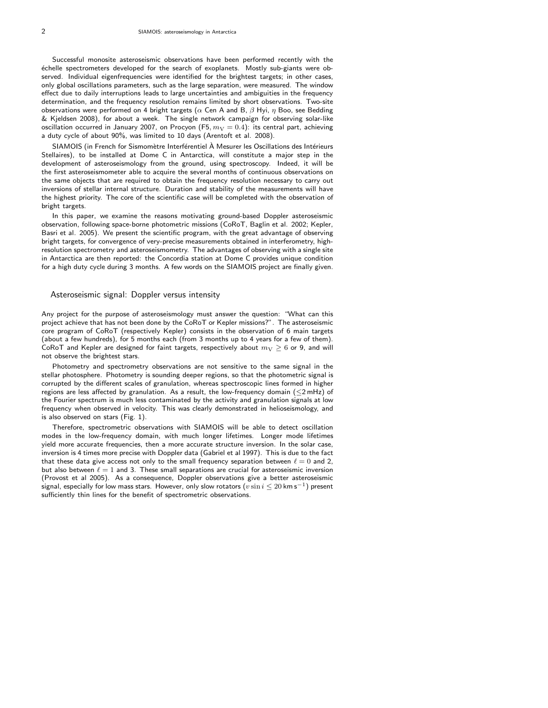Successful monosite asteroseismic observations have been performed recently with the échelle spectrometers developed for the search of exoplanets. Mostly sub-giants were observed. Individual eigenfrequencies were identified for the brightest targets; in other cases, only global oscillations parameters, such as the large separation, were measured. The window effect due to daily interruptions leads to large uncertainties and ambiguities in the frequency determination, and the frequency resolution remains limited by short observations. Two-site observations were performed on 4 bright targets ( $\alpha$  Cen A and B,  $\beta$  Hyi,  $\eta$  Boo, see Bedding & Kjeldsen 2008), for about a week. The single network campaign for observing solar-like oscillation occurred in January 2007, on Procyon (F5,  $m_V = 0.4$ ): its central part, achieving a duty cycle of about 90%, was limited to 10 days (Arentoft et al. 2008).

SIAMOIS (in French for Sismomètre Interférentiel À Mesurer les Oscillations des Intérieurs Stellaires), to be installed at Dome C in Antarctica, will constitute a major step in the development of asteroseismology from the ground, using spectroscopy. Indeed, it will be the first asteroseismometer able to acquire the several months of continuous observations on the same objects that are required to obtain the frequency resolution necessary to carry out inversions of stellar internal structure. Duration and stability of the measurements will have the highest priority. The core of the scientific case will be completed with the observation of bright targets.

In this paper, we examine the reasons motivating ground-based Doppler asteroseismic observation, following space-borne photometric missions (CoRoT, Baglin et al. 2002; Kepler, Basri et al. 2005). We present the scientific program, with the great advantage of observing bright targets, for convergence of very-precise measurements obtained in interferometry, highresolution spectrometry and asteroseismometry. The advantages of observing with a single site in Antarctica are then reported: the Concordia station at Dome C provides unique condition for a high duty cycle during 3 months. A few words on the SIAMOIS project are finally given.

#### Asteroseismic signal: Doppler versus intensity

Any project for the purpose of asteroseismology must answer the question: "What can this project achieve that has not been done by the CoRoT or Kepler missions?". The asteroseismic core program of CoRoT (respectively Kepler) consists in the observation of 6 main targets (about a few hundreds), for 5 months each (from 3 months up to 4 years for a few of them). CoRoT and Kepler are designed for faint targets, respectively about  $m_{\rm V} \geq 6$  or 9, and will not observe the brightest stars.

Photometry and spectrometry observations are not sensitive to the same signal in the stellar photosphere. Photometry is sounding deeper regions, so that the photometric signal is corrupted by the different scales of granulation, whereas spectroscopic lines formed in higher regions are less affected by granulation. As a result, the low-frequency domain (≤2 mHz) of the Fourier spectrum is much less contaminated by the activity and granulation signals at low frequency when observed in velocity. This was clearly demonstrated in helioseismology, and is also observed on stars (Fig. 1).

Therefore, spectrometric observations with SIAMOIS will be able to detect oscillation modes in the low-frequency domain, with much longer lifetimes. Longer mode lifetimes yield more accurate frequencies, then a more accurate structure inversion. In the solar case, inversion is 4 times more precise with Doppler data (Gabriel et al 1997). This is due to the fact that these data give access not only to the small frequency separation between  $\ell = 0$  and 2, but also between  $\ell = 1$  and 3. These small separations are crucial for asteroseismic inversion (Provost et al 2005). As a consequence, Doppler observations give a better asteroseismic  $\overline{\text{s}}$ ignal, especially for low mass stars. However, only slow rotators  $(v \sin i \leq 20$  km s $^{-1})$  present sufficiently thin lines for the benefit of spectrometric observations.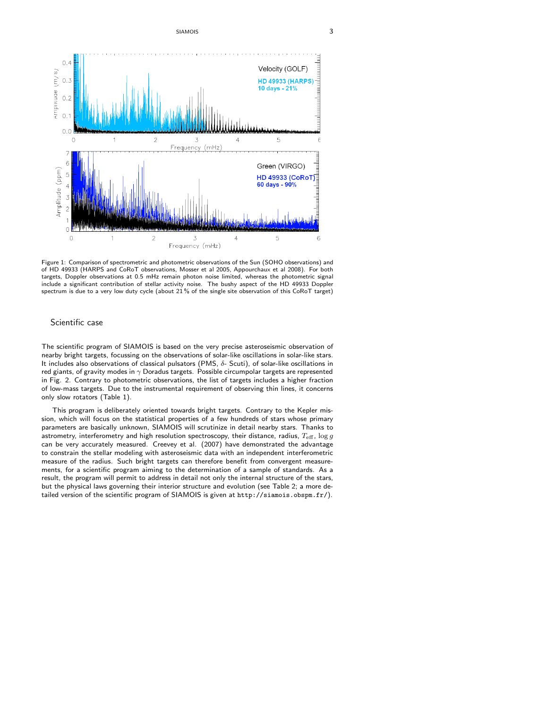SIAMOIS 3



Figure 1: Comparison of spectrometric and photometric observations of the Sun (SOHO observations) and of HD 49933 (HARPS and CoRoT observations, Mosser et al 2005, Appourchaux et al 2008). For both targets, Doppler observations at 0.5 mHz remain photon noise limited, whereas the photometric signal include a significant contribution of stellar activity noise. The bushy aspect of the HD 49933 Doppler spectrum is due to a very low duty cycle (about 21 % of the single site observation of this CoRoT target)

### Scientific case

The scientific program of SIAMOIS is based on the very precise asteroseismic observation of nearby bright targets, focussing on the observations of solar-like oscillations in solar-like stars. It includes also observations of classical pulsators (PMS, δ- Scuti), of solar-like oscillations in red giants, of gravity modes in  $\gamma$  Doradus targets. Possible circumpolar targets are represented in Fig. 2. Contrary to photometric observations, the list of targets includes a higher fraction of low-mass targets. Due to the instrumental requirement of observing thin lines, it concerns only slow rotators (Table 1).

This program is deliberately oriented towards bright targets. Contrary to the Kepler mission, which will focus on the statistical properties of a few hundreds of stars whose primary parameters are basically unknown, SIAMOIS will scrutinize in detail nearby stars. Thanks to astrometry, interferometry and high resolution spectroscopy, their distance, radius,  $T_{\text{eff}}$ ,  $\log g$ can be very accurately measured. Creevey et al. (2007) have demonstrated the advantage to constrain the stellar modeling with asteroseismic data with an independent interferometric measure of the radius. Such bright targets can therefore benefit from convergent measurements, for a scientific program aiming to the determination of a sample of standards. As a result, the program will permit to address in detail not only the internal structure of the stars, but the physical laws governing their interior structure and evolution (see Table 2; a more detailed version of the scientific program of SIAMOIS is given at http://siamois.obspm.fr/).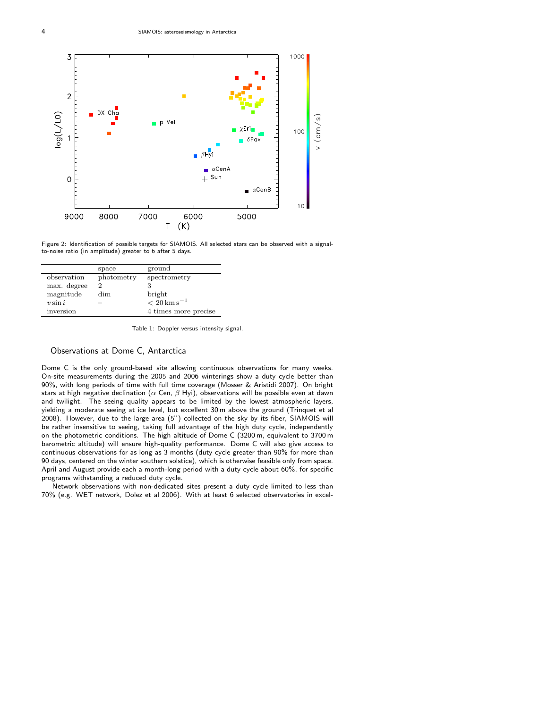

Figure 2: Identification of possible targets for SIAMOIS. All selected stars can be observed with a signalto-noise ratio (in amplitude) greater to 6 after 5 days.

|             | space      | ground                  |
|-------------|------------|-------------------------|
| observation | photometry | spectrometry            |
| max. degree | 2          |                         |
| magnitude   | dim        | bright                  |
| $v \sin i$  |            | $< 20 \,\rm km\,s^{-1}$ |
| inversion   |            | 4 times more precise    |

Table 1: Doppler versus intensity signal.

#### Observations at Dome C, Antarctica

Dome C is the only ground-based site allowing continuous observations for many weeks. On-site measurements during the 2005 and 2006 winterings show a duty cycle better than 90%, with long periods of time with full time coverage (Mosser & Aristidi 2007). On bright stars at high negative declination ( $\alpha$  Cen,  $\beta$  Hyi), observations will be possible even at dawn and twilight. The seeing quality appears to be limited by the lowest atmospheric layers, yielding a moderate seeing at ice level, but excellent 30 m above the ground (Trinquet et al 2008). However, due to the large area (5") collected on the sky by its fiber, SIAMOIS will be rather insensitive to seeing, taking full advantage of the high duty cycle, independently on the photometric conditions. The high altitude of Dome C (3200 m, equivalent to 3700 m barometric altitude) will ensure high-quality performance. Dome C will also give access to continuous observations for as long as 3 months (duty cycle greater than 90% for more than 90 days, centered on the winter southern solstice), which is otherwise feasible only from space. April and August provide each a month-long period with a duty cycle about 60%, for specific programs withstanding a reduced duty cycle.

Network observations with non-dedicated sites present a duty cycle limited to less than 70% (e.g. WET network, Dolez et al 2006). With at least 6 selected observatories in excel-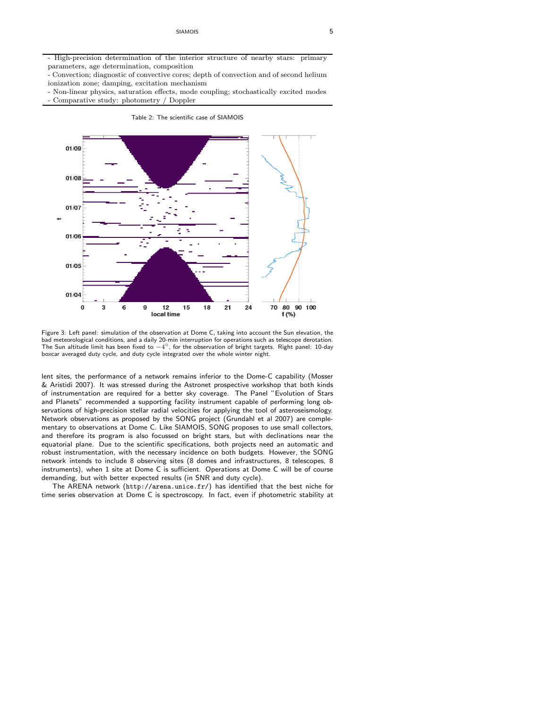- High-precision determination of the interior structure of nearby stars: primary parameters, age determination, composition

- Convection; diagnostic of convective cores; depth of convection and of second helium ionization zone; damping, excitation mechanism

- Non-linear physics, saturation effects, mode coupling; stochastically excited modes - Comparative study: photometry / Doppler



Table 2: The scientific case of SIAMOIS

Figure 3: Left panel: simulation of the observation at Dome C, taking into account the Sun elevation, the bad meteorological conditions, and a daily 20-min interruption for operations such as telescope derotation. The Sun altitude limit has been fixed to  $-4^{\circ}$ , for the observation of bright targets. Right panel: 10-day boxcar averaged duty cycle, and duty cycle integrated over the whole winter night.

lent sites, the performance of a network remains inferior to the Dome-C capability (Mosser & Aristidi 2007). It was stressed during the Astronet prospective workshop that both kinds of instrumentation are required for a better sky coverage. The Panel "Evolution of Stars and Planets" recommended a supporting facility instrument capable of performing long observations of high-precision stellar radial velocities for applying the tool of asteroseismology. Network observations as proposed by the SONG project (Grundahl et al 2007) are complementary to observations at Dome C. Like SIAMOIS, SONG proposes to use small collectors, and therefore its program is also focussed on bright stars, but with declinations near the equatorial plane. Due to the scientific specifications, both projects need an automatic and robust instrumentation, with the necessary incidence on both budgets. However, the SONG network intends to include 8 observing sites (8 domes and infrastructures, 8 telescopes, 8 instruments), when 1 site at Dome C is sufficient. Operations at Dome C will be of course demanding, but with better expected results (in SNR and duty cycle).

The ARENA network (http://arena.unice.fr/) has identified that the best niche for time series observation at Dome C is spectroscopy. In fact, even if photometric stability at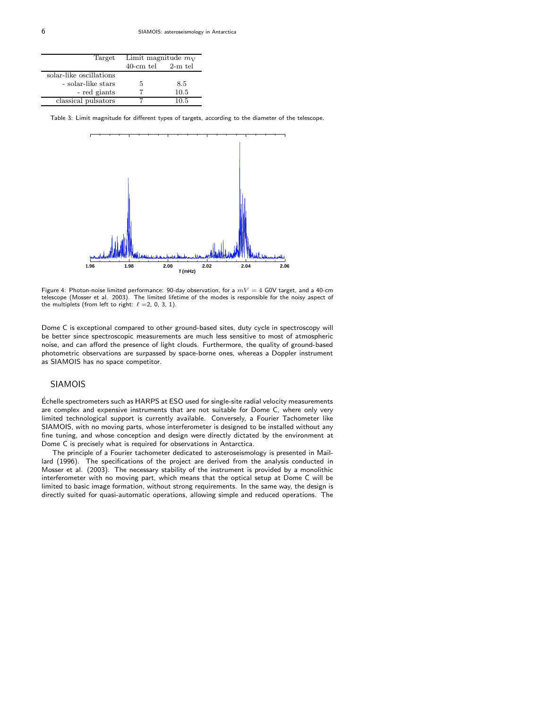| Target                  | Limit magnitude $m_V$   |      |
|-------------------------|-------------------------|------|
|                         | $40$ -cm tel $2$ -m tel |      |
| solar-like oscillations |                         |      |
| - solar-like stars      | 5                       | 8.5  |
| - red giants            |                         | 10.5 |
| classical pulsators     |                         | 10.5 |

Table 3: Limit magnitude for different types of targets, according to the diameter of the telescope.



Figure 4: Photon-noise limited performance: 90-day observation, for a  $mV = 4$  G0V target, and a 40-cm telescope (Mosser et al. 2003). The limited lifetime of the modes is responsible for the noisy aspect of the multiplets (from left to right:  $\ell = 2, 0, 3, 1$ ).

Dome C is exceptional compared to other ground-based sites, duty cycle in spectroscopy will be better since spectroscopic measurements are much less sensitive to most of atmospheric noise, and can afford the presence of light clouds. Furthermore, the quality of ground-based photometric observations are surpassed by space-borne ones, whereas a Doppler instrument as SIAMOIS has no space competitor.

## SIAMOIS

Échelle spectrometers such as HARPS at ESO used for single-site radial velocity measurements are complex and expensive instruments that are not suitable for Dome C, where only very limited technological support is currently available. Conversely, a Fourier Tachometer like SIAMOIS, with no moving parts, whose interferometer is designed to be installed without any fine tuning, and whose conception and design were directly dictated by the environment at Dome C is precisely what is required for observations in Antarctica.

The principle of a Fourier tachometer dedicated to asteroseismology is presented in Maillard (1996). The specifications of the project are derived from the analysis conducted in Mosser et al. (2003). The necessary stability of the instrument is provided by a monolithic interferometer with no moving part, which means that the optical setup at Dome C will be limited to basic image formation, without strong requirements. In the same way, the design is directly suited for quasi-automatic operations, allowing simple and reduced operations. The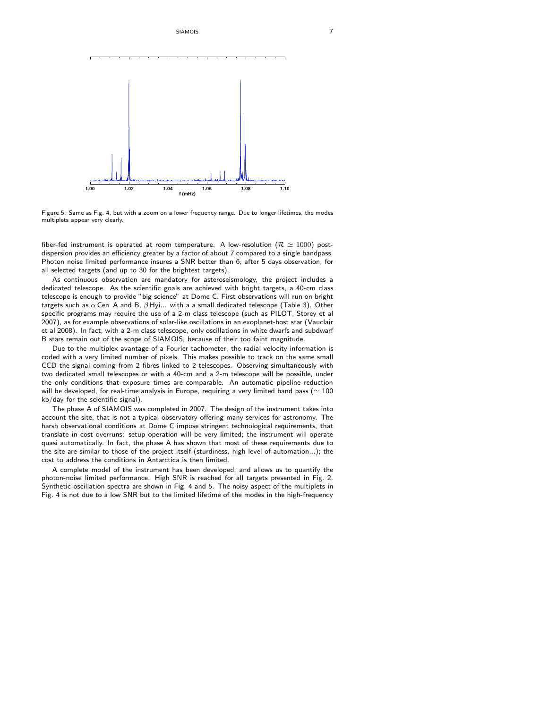SIAMOIS 7



Figure 5: Same as Fig. 4, but with a zoom on a lower frequency range. Due to longer lifetimes, the modes multiplets appear very clearly.

fiber-fed instrument is operated at room temperature. A low-resolution ( $\mathcal{R} \simeq 1000$ ) postdispersion provides an efficiency greater by a factor of about 7 compared to a single bandpass. Photon noise limited performance insures a SNR better than 6, after 5 days observation, for all selected targets (and up to 30 for the brightest targets).

As continuous observation are mandatory for asteroseismology, the project includes a dedicated telescope. As the scientific goals are achieved with bright targets, a 40-cm class telescope is enough to provide "big science" at Dome C. First observations will run on bright targets such as  $\alpha$  Cen A and B,  $\beta$  Hyi... with a a small dedicated telescope (Table 3). Other specific programs may require the use of a 2-m class telescope (such as PILOT, Storey et al 2007), as for example observations of solar-like oscillations in an exoplanet-host star (Vauclair et al 2008). In fact, with a 2-m class telescope, only oscillations in white dwarfs and subdwarf B stars remain out of the scope of SIAMOIS, because of their too faint magnitude.

Due to the multiplex avantage of a Fourier tachometer, the radial velocity information is coded with a very limited number of pixels. This makes possible to track on the same small CCD the signal coming from 2 fibres linked to 2 telescopes. Observing simultaneously with two dedicated small telescopes or with a 40-cm and a 2-m telescope will be possible, under the only conditions that exposure times are comparable. An automatic pipeline reduction will be developed, for real-time analysis in Europe, requiring a very limited band pass ( $\simeq 100$ kb/day for the scientific signal).

The phase A of SIAMOIS was completed in 2007. The design of the instrument takes into account the site, that is not a typical observatory offering many services for astronomy. The harsh observational conditions at Dome C impose stringent technological requirements, that translate in cost overruns: setup operation will be very limited; the instrument will operate quasi automatically. In fact, the phase A has shown that most of these requirements due to the site are similar to those of the project itself (sturdiness, high level of automation...); the cost to address the conditions in Antarctica is then limited.

A complete model of the instrument has been developed, and allows us to quantify the photon-noise limited performance. High SNR is reached for all targets presented in Fig. 2. Synthetic oscillation spectra are shown in Fig. 4 and 5. The noisy aspect of the multiplets in Fig. 4 is not due to a low SNR but to the limited lifetime of the modes in the high-frequency